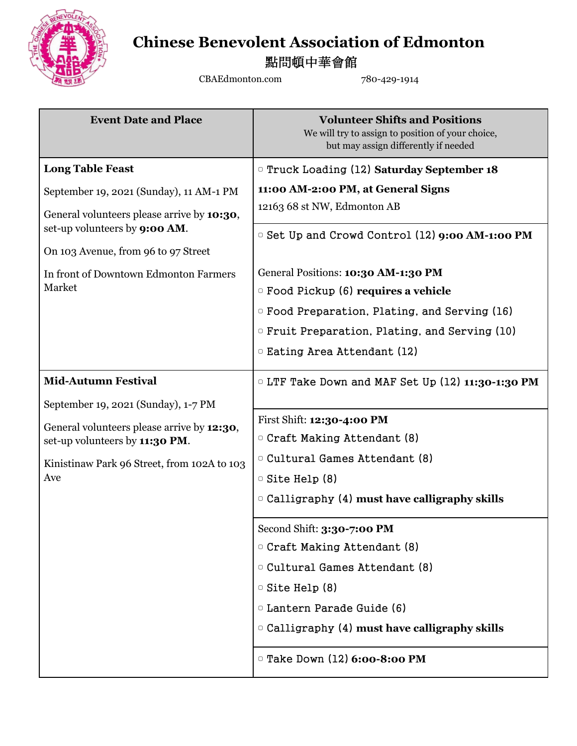

## **Chinese Benevolent Association of Edmonton**

點問頓中華會館

CBAEdmonton.com 780-429-1914

| <b>Event Date and Place</b>                                                         | <b>Volunteer Shifts and Positions</b><br>We will try to assign to position of your choice,<br>but may assign differently if needed |
|-------------------------------------------------------------------------------------|------------------------------------------------------------------------------------------------------------------------------------|
| <b>Long Table Feast</b>                                                             | <b>Truck Loading (12) Saturday September 18</b>                                                                                    |
| September 19, 2021 (Sunday), 11 AM-1 PM                                             | 11:00 AM-2:00 PM, at General Signs                                                                                                 |
| General volunteers please arrive by 10:30,<br>set-up volunteers by <b>9:00 AM</b> . | 12163 68 st NW, Edmonton AB<br><b>Example 12 Set Up and Crowd Control (12) 9:00 AM-1:00 PM</b>                                     |
| On 103 Avenue, from 96 to 97 Street                                                 |                                                                                                                                    |
| In front of Downtown Edmonton Farmers                                               | General Positions: 10:30 AM-1:30 PM                                                                                                |
| Market                                                                              | $\circ$ Food Pickup (6) requires a vehicle                                                                                         |
|                                                                                     | <sup>o</sup> Food Preparation, Plating, and Serving (16)                                                                           |
|                                                                                     | <sup>o</sup> Fruit Preparation, Plating, and Serving (10)                                                                          |
|                                                                                     | □ Eating Area Attendant (12)                                                                                                       |
| <b>Mid-Autumn Festival</b>                                                          | $\circ$ LTF Take Down and MAF Set Up (12) 11:30-1:30 PM                                                                            |
| September 19, 2021 (Sunday), 1-7 PM                                                 |                                                                                                                                    |
| General volunteers please arrive by 12:30,                                          | First Shift: 12:30-4:00 PM                                                                                                         |
| set-up volunteers by 11:30 PM.                                                      | <sup>o</sup> Craft Making Attendant (8)                                                                                            |
| Kinistinaw Park 96 Street, from 102A to 103                                         | <sup>o</sup> Cultural Games Attendant (8)                                                                                          |
| Ave                                                                                 | $\circ$ Site Help (8)                                                                                                              |
|                                                                                     | $\circ$ Calligraphy (4) must have calligraphy skills                                                                               |
|                                                                                     | Second Shift: 3:30-7:00 PM                                                                                                         |
|                                                                                     | <sup>o</sup> Craft Making Attendant (8)                                                                                            |
|                                                                                     | □ Cultural Games Attendant (8)                                                                                                     |
|                                                                                     | $\circ$ Site Help (8)                                                                                                              |
|                                                                                     | D Lantern Parade Guide (6)                                                                                                         |
|                                                                                     | $\circ$ Calligraphy (4) must have calligraphy skills                                                                               |
|                                                                                     | <sup>o</sup> Take Down (12) 6:00-8:00 PM                                                                                           |